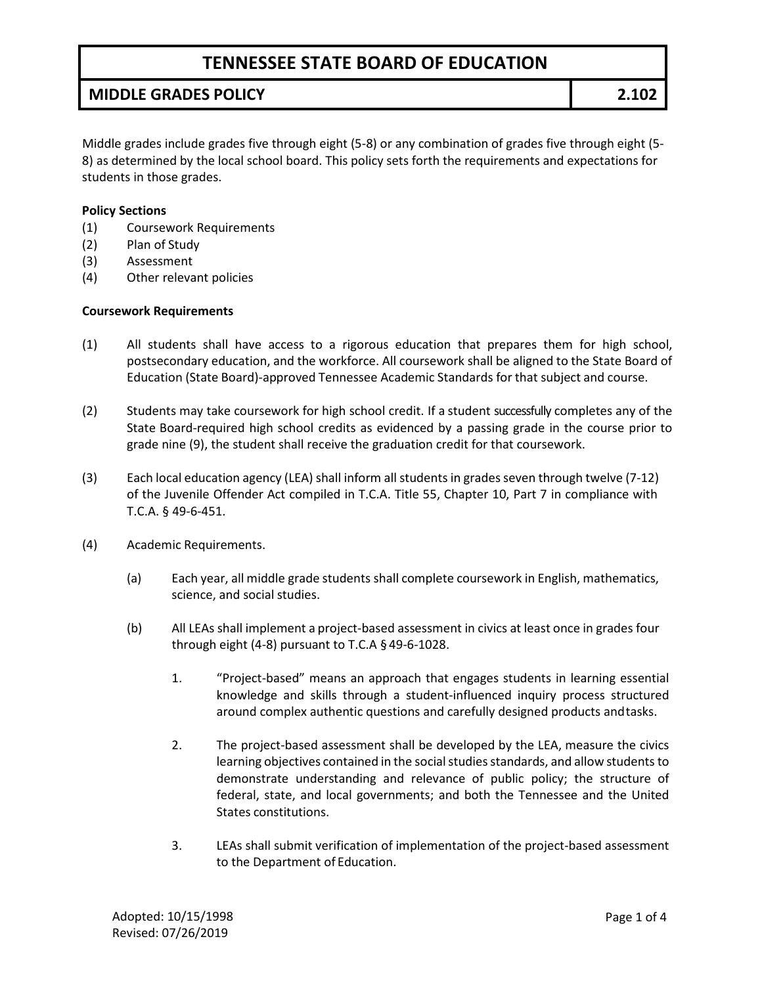## **MIDDLE GRADES POLICY 2.102**

Middle grades include grades five through eight (5-8) or any combination of grades five through eight (5- 8) as determined by the local school board. This policy sets forth the requirements and expectations for students in those grades.

#### **Policy Sections**

- (1) Coursework Requirements
- (2) Plan of Study
- (3) Assessment
- (4) Other relevant policies

#### **Coursework Requirements**

- (1) All students shall have access to a rigorous education that prepares them for high school, postsecondary education, and the workforce. All coursework shall be aligned to the State Board of Education (State Board)-approved Tennessee Academic Standards for that subject and course.
- (2) Students may take coursework for high school credit. If a student successfully completes any of the State Board-required high school credits as evidenced by a passing grade in the course prior to grade nine (9), the student shall receive the graduation credit for that coursework.
- (3) Each local education agency (LEA) shall inform allstudents in gradesseven through twelve (7-12) of the Juvenile Offender Act compiled in T.C.A. Title 55, Chapter 10, Part 7 in compliance with T.C.A. § 49-6-451.
- (4) Academic Requirements.
	- (a) Each year, all middle grade students shall complete coursework in English, mathematics, science, and social studies.
	- (b) All LEAs shall implement a project-based assessment in civics at least once in grades four through eight (4-8) pursuant to T.C.A § 49-6-1028.
		- 1. "Project-based" means an approach that engages students in learning essential knowledge and skills through a student-influenced inquiry process structured around complex authentic questions and carefully designed products andtasks.
		- 2. The project-based assessment shall be developed by the LEA, measure the civics learning objectives contained in the social studies standards, and allow students to demonstrate understanding and relevance of public policy; the structure of federal, state, and local governments; and both the Tennessee and the United States constitutions.
		- 3. LEAs shall submit verification of implementation of the project-based assessment to the Department of Education.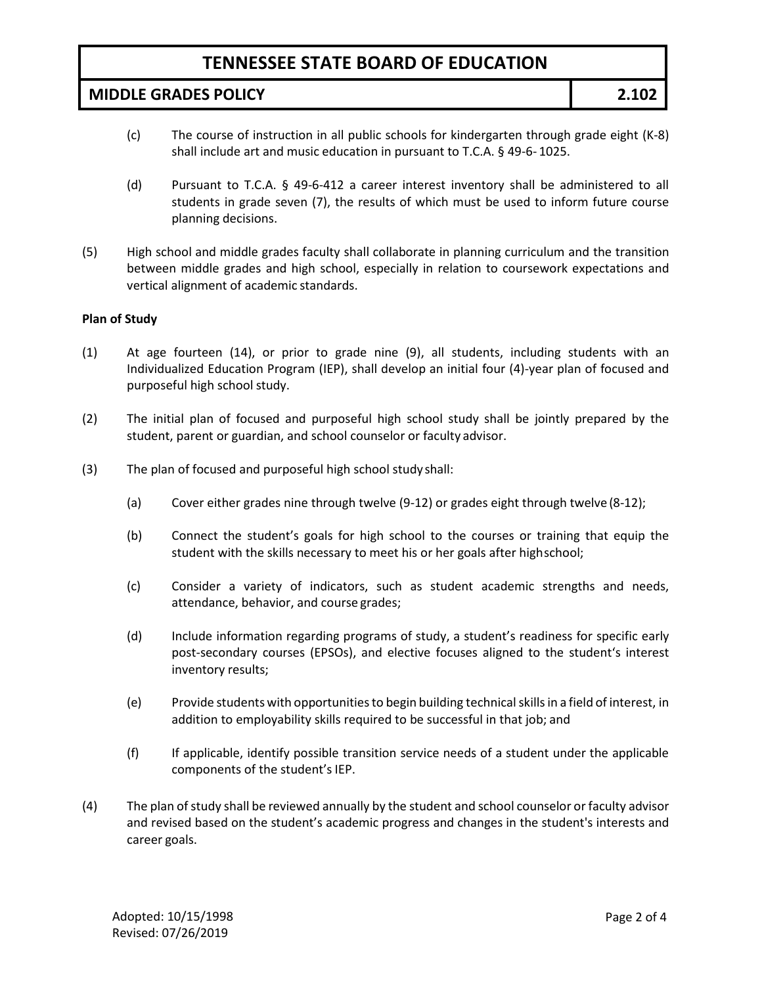**MIDDLE GRADES POLICY 2.102**

- (c) The course of instruction in all public schools for kindergarten through grade eight (K-8) shall include art and music education in pursuant to T.C.A. § 49-6- 1025.
- (d) Pursuant to T.C.A. § 49-6-412 a career interest inventory shall be administered to all students in grade seven (7), the results of which must be used to inform future course planning decisions.
- (5) High school and middle grades faculty shall collaborate in planning curriculum and the transition between middle grades and high school, especially in relation to coursework expectations and vertical alignment of academic standards.

#### **Plan of Study**

- (1) At age fourteen (14), or prior to grade nine (9), all students, including students with an Individualized Education Program (IEP), shall develop an initial four (4)-year plan of focused and purposeful high school study.
- (2) The initial plan of focused and purposeful high school study shall be jointly prepared by the student, parent or guardian, and school counselor or faculty advisor.
- (3) The plan of focused and purposeful high school study shall:
	- (a) Cover either grades nine through twelve (9-12) or grades eight through twelve (8-12);
	- (b) Connect the student's goals for high school to the courses or training that equip the student with the skills necessary to meet his or her goals after highschool;
	- (c) Consider a variety of indicators, such as student academic strengths and needs, attendance, behavior, and course grades;
	- (d) Include information regarding programs of study, a student's readiness for specific early post-secondary courses (EPSOs), and elective focuses aligned to the student's interest inventory results;
	- (e) Provide students with opportunitiesto begin building technicalskillsin a field of interest, in addition to employability skills required to be successful in that job; and
	- (f) If applicable, identify possible transition service needs of a student under the applicable components of the student's IEP.
- (4) The plan of study shall be reviewed annually by the student and school counselor or faculty advisor and revised based on the student's academic progress and changes in the student's interests and career goals.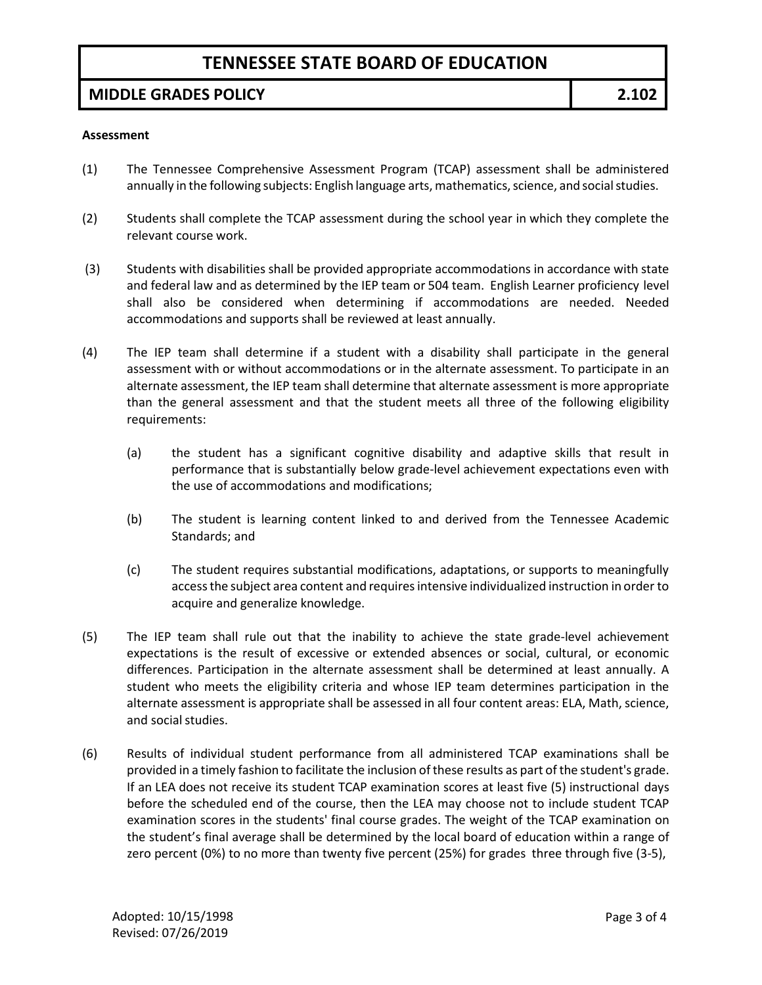### **MIDDLE GRADES POLICY 2.102**

#### **Assessment**

- (1) The Tennessee Comprehensive Assessment Program (TCAP) assessment shall be administered annually in the following subjects: English language arts, mathematics, science, and social studies.
- (2) Students shall complete the TCAP assessment during the school year in which they complete the relevant course work.
- (3) Students with disabilities shall be provided appropriate accommodations in accordance with state and federal law and as determined by the IEP team or 504 team. English Learner proficiency level shall also be considered when determining if accommodations are needed. Needed accommodations and supports shall be reviewed at least annually.
- (4) The IEP team shall determine if a student with a disability shall participate in the general assessment with or without accommodations or in the alternate assessment. To participate in an alternate assessment, the IEP team shall determine that alternate assessment is more appropriate than the general assessment and that the student meets all three of the following eligibility requirements:
	- (a) the student has a significant cognitive disability and adaptive skills that result in performance that is substantially below grade-level achievement expectations even with the use of accommodations and modifications;
	- (b) The student is learning content linked to and derived from the Tennessee Academic Standards; and
	- (c) The student requires substantial modifications, adaptations, or supports to meaningfully accessthe subject area content and requiresintensive individualized instruction in order to acquire and generalize knowledge.
- (5) The IEP team shall rule out that the inability to achieve the state grade-level achievement expectations is the result of excessive or extended absences or social, cultural, or economic differences. Participation in the alternate assessment shall be determined at least annually. A student who meets the eligibility criteria and whose IEP team determines participation in the alternate assessment is appropriate shall be assessed in all four content areas: ELA, Math, science, and social studies.
- (6) Results of individual student performance from all administered TCAP examinations shall be provided in a timely fashion to facilitate the inclusion of these results as part of the student's grade. If an LEA does not receive its student TCAP examination scores at least five (5) instructional days before the scheduled end of the course, then the LEA may choose not to include student TCAP examination scores in the students' final course grades. The weight of the TCAP examination on the student's final average shall be determined by the local board of education within a range of zero percent (0%) to no more than twenty five percent (25%) for grades three through five (3-5),